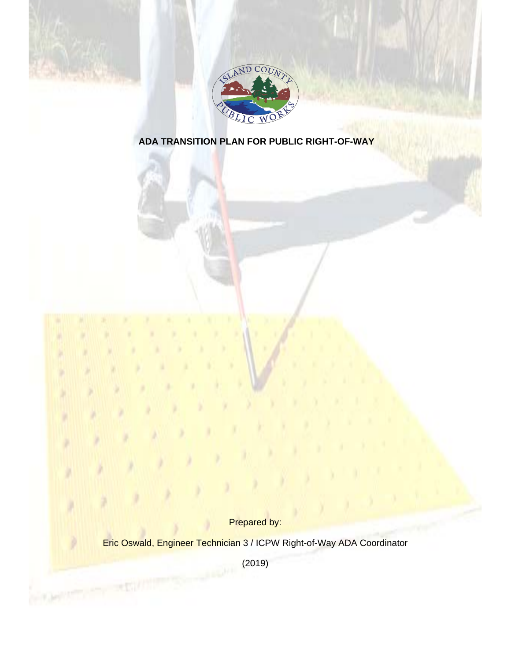



# **ADA TRANSITION PLAN FOR PUBLIC RIGHT-OF-WAY**

Prepared by:

Eric Oswald, Engineer Technician 3 / ICPW Right-of-Way ADA Coordinator

(2019)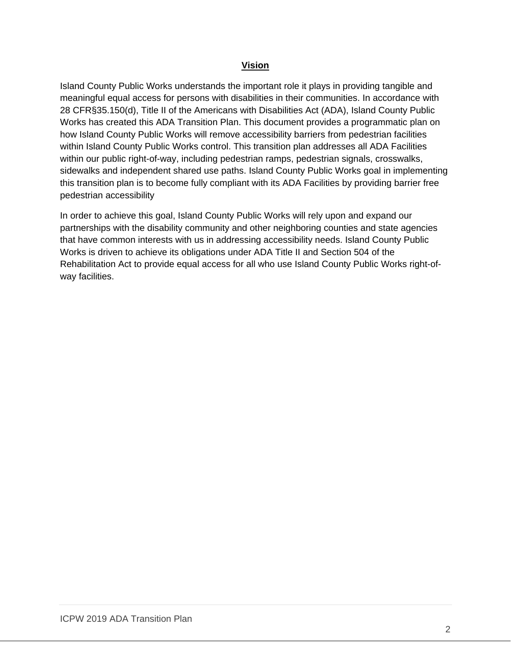## **Vision**

Island County Public Works understands the important role it plays in providing tangible and meaningful equal access for persons with disabilities in their communities. In accordance with 28 CFR§35.150(d), Title II of the Americans with Disabilities Act (ADA), Island County Public Works has created this ADA Transition Plan. This document provides a programmatic plan on how Island County Public Works will remove accessibility barriers from pedestrian facilities within Island County Public Works control. This transition plan addresses all ADA Facilities within our public right-of-way, including pedestrian ramps, pedestrian signals, crosswalks, sidewalks and independent shared use paths. Island County Public Works goal in implementing this transition plan is to become fully compliant with its ADA Facilities by providing barrier free pedestrian accessibility

In order to achieve this goal, Island County Public Works will rely upon and expand our partnerships with the disability community and other neighboring counties and state agencies that have common interests with us in addressing accessibility needs. Island County Public Works is driven to achieve its obligations under ADA Title II and Section 504 of the Rehabilitation Act to provide equal access for all who use Island County Public Works right-ofway facilities.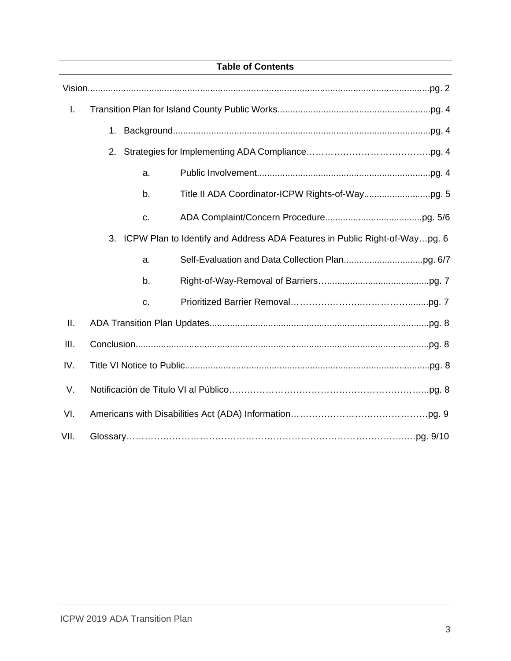| <b>Table of Contents</b> |    |                                                                            |
|--------------------------|----|----------------------------------------------------------------------------|
|                          |    |                                                                            |
| $\mathsf{L}$             |    |                                                                            |
|                          | 1. |                                                                            |
|                          | 2. |                                                                            |
|                          | a. |                                                                            |
|                          | b. |                                                                            |
|                          | c. |                                                                            |
|                          | 3. | ICPW Plan to Identify and Address ADA Features in Public Right-of-Waypg. 6 |
|                          | a. |                                                                            |
|                          | b. |                                                                            |
|                          | C. |                                                                            |
| Ш.                       |    |                                                                            |
| III.                     |    |                                                                            |
| IV.                      |    |                                                                            |
| V.                       |    |                                                                            |
| VI.                      |    |                                                                            |
| VII.                     |    |                                                                            |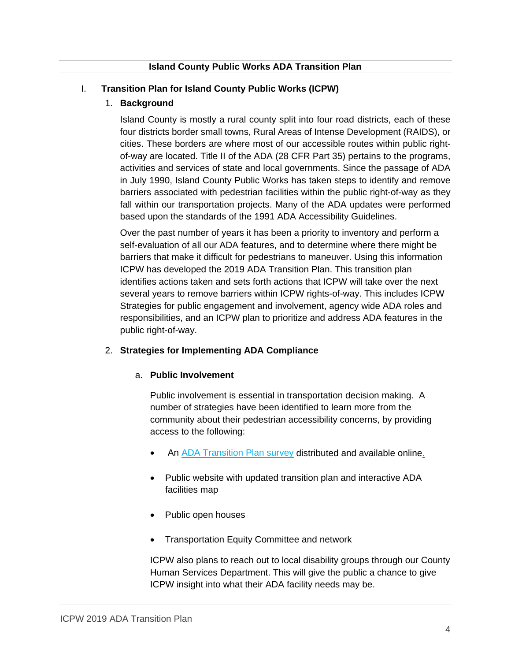# I. **Transition Plan for Island County Public Works (ICPW)**

# 1. **Background**

Island County is mostly a rural county split into four road districts, each of these four districts border small towns, Rural Areas of Intense Development (RAIDS), or cities. These borders are where most of our accessible routes within public rightof-way are located. Title II of the ADA (28 CFR Part 35) pertains to the programs, activities and services of state and local governments. Since the passage of ADA in July 1990, Island County Public Works has taken steps to identify and remove barriers associated with pedestrian facilities within the public right-of-way as they fall within our transportation projects. Many of the ADA updates were performed based upon the standards of the 1991 ADA Accessibility Guidelines.

Over the past number of years it has been a priority to inventory and perform a self-evaluation of all our ADA features, and to determine where there might be barriers that make it difficult for pedestrians to maneuver. Using this information ICPW has developed the 2019 ADA Transition Plan. This transition plan identifies actions taken and sets forth actions that ICPW will take over the next several years to remove barriers within ICPW rights-of-way. This includes ICPW Strategies for public engagement and involvement, agency wide ADA roles and responsibilities, and an ICPW plan to prioritize and address ADA features in the public right-of-way.

## 2. **Strategies for Implementing ADA Compliance**

## a. **Public Involvement**

Public involvement is essential in transportation decision making. A number of strategies have been identified to learn more from the community about their pedestrian accessibility concerns, by providing access to the following:

- An **[ADA Transition Plan survey](https://www.islandcountywa.gov/PublicWorks/Roads/Transportation-Planning/Documents/ICPW-ADA-Transition-Plan-Survey.pdf) distributed and available online.**
- Public website with updated transition plan and interactive ADA facilities map
- Public open houses
- Transportation Equity Committee and network

ICPW also plans to reach out to local disability groups through our County Human Services Department. This will give the public a chance to give ICPW insight into what their ADA facility needs may be.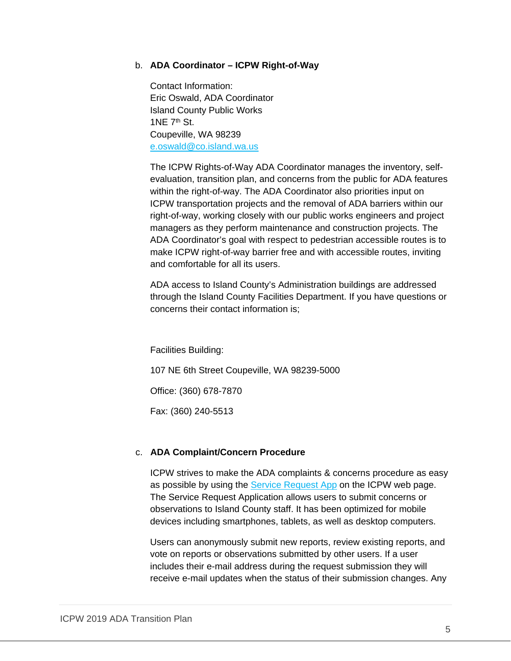## b. **ADA Coordinator – ICPW Right-of-Way**

Contact Information: Eric Oswald, ADA Coordinator Island County Public Works  $1NF$   $7<sup>th</sup>$  St. Coupeville, WA 98239 [e.oswald@co.island.wa.us](mailto:e.oswald@co.island.wa.us)

The ICPW Rights-of-Way ADA Coordinator manages the inventory, selfevaluation, transition plan, and concerns from the public for ADA features within the right-of-way. The ADA Coordinator also priorities input on ICPW transportation projects and the removal of ADA barriers within our right-of-way, working closely with our public works engineers and project managers as they perform maintenance and construction projects. The ADA Coordinator's goal with respect to pedestrian accessible routes is to make ICPW right-of-way barrier free and with accessible routes, inviting and comfortable for all its users.

ADA access to Island County's Administration buildings are addressed through the Island County Facilities Department. If you have questions or concerns their contact information is;

Facilities Building:

107 NE 6th Street Coupeville, WA 98239-5000

Office: (360) 678-7870

Fax: (360) 240-5513

## c. **ADA Complaint/Concern Procedure**

ICPW strives to make the ADA complaints & concerns procedure as easy as possible by using the [Service Request App](https://islandcountygis.maps.arcgis.com/apps/CrowdsourceReporter/index.html?appid=55c55a75168843d4bc8a856a72a0b289) on the ICPW web page. The Service Request Application allows users to submit concerns or observations to Island County staff. It has been optimized for mobile devices including smartphones, tablets, as well as desktop computers.

Users can anonymously submit new reports, review existing reports, and vote on reports or observations submitted by other users. If a user includes their e-mail address during the request submission they will receive e-mail updates when the status of their submission changes. Any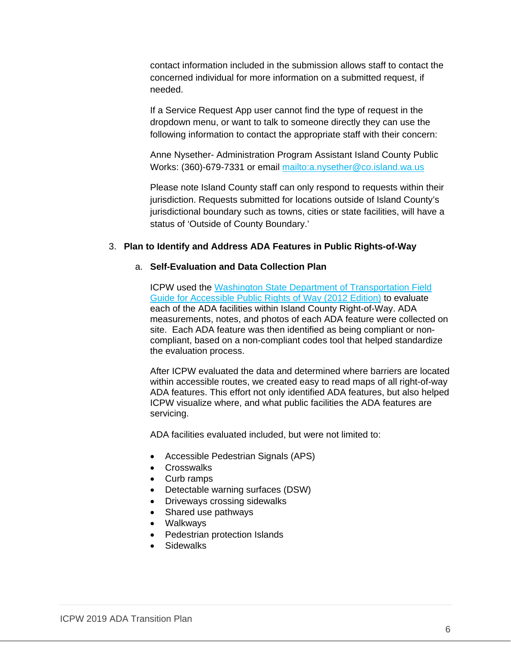contact information included in the submission allows staff to contact the concerned individual for more information on a submitted request, if needed.

If a Service Request App user cannot find the type of request in the dropdown menu, or want to talk to someone directly they can use the following information to contact the appropriate staff with their concern:

Anne Nysether- Administration Program Assistant Island County Public Works: (360)-679-7331 or email<mailto:a.nysether@co.island.wa.us>

Please note Island County staff can only respond to requests within their jurisdiction. Requests submitted for locations outside of Island County's jurisdictional boundary such as towns, cities or state facilities, will have a status of 'Outside of County Boundary.'

#### 3. **Plan to Identify and Address ADA Features in Public Rights-of-Way**

#### a. **Self-Evaluation and Data Collection Plan**

ICPW used the [Washington State Department of Transportation Field](https://www.wsdot.wa.gov/Publications/Manuals/ADA_Field_Guide.htm)  [Guide for Accessible Public Rights of Way \(2012 Edition\)](https://www.wsdot.wa.gov/Publications/Manuals/ADA_Field_Guide.htm) to evaluate each of the ADA facilities within Island County Right-of-Way. ADA measurements, notes, and photos of each ADA feature were collected on site. Each ADA feature was then identified as being compliant or noncompliant, based on a non-compliant codes tool that helped standardize the evaluation process.

After ICPW evaluated the data and determined where barriers are located within accessible routes, we created easy to read maps of all right-of-way ADA features. This effort not only identified ADA features, but also helped ICPW visualize where, and what public facilities the ADA features are servicing.

ADA facilities evaluated included, but were not limited to:

- Accessible Pedestrian Signals (APS)
- Crosswalks
- Curb ramps
- Detectable warning surfaces (DSW)
- Driveways crossing sidewalks
- Shared use pathways
- Walkways
- Pedestrian protection Islands
- Sidewalks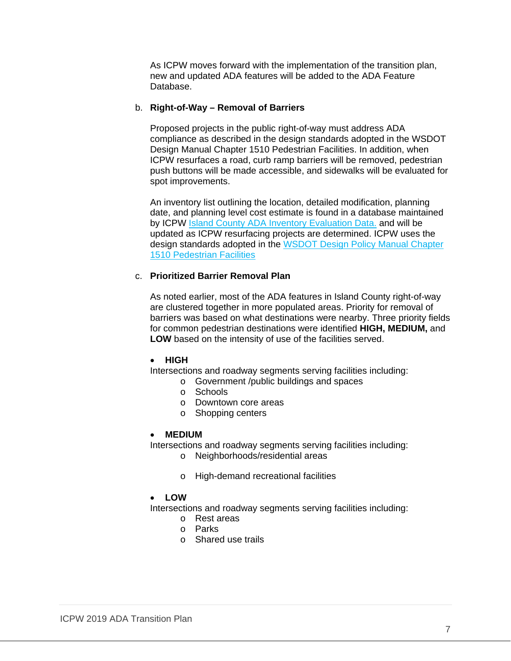As ICPW moves forward with the implementation of the transition plan, new and updated ADA features will be added to the ADA Feature Database.

#### b. **Right-of-Way – Removal of Barriers**

Proposed projects in the public right-of-way must address ADA compliance as described in the design standards adopted in the WSDOT Design Manual Chapter 1510 Pedestrian Facilities. In addition, when ICPW resurfaces a road, curb ramp barriers will be removed, pedestrian push buttons will be made accessible, and sidewalks will be evaluated for spot improvements.

An inventory list outlining the location, detailed modification, planning date, and planning level cost estimate is found in a database maintained by ICPW [Island County ADA Inventory Evaluation Data.](https://www.islandcountywa.gov/PublicWorks/Roads/Transportation-Planning/Documents/Island-County-ADA-Inventory-Evaluation-Data.pdf) and will be updated as ICPW resurfacing projects are determined. ICPW uses the design standards adopted in the [WSDOT Design Policy Manual Chapter](http://www.wsdot.wa.gov/publications/manuals/fulltext/M22-01/1510.pdf)  [1510 Pedestrian Facilities](http://www.wsdot.wa.gov/publications/manuals/fulltext/M22-01/1510.pdf)

## c. **Prioritized Barrier Removal Plan**

As noted earlier, most of the ADA features in Island County right-of-way are clustered together in more populated areas. Priority for removal of barriers was based on what destinations were nearby. Three priority fields for common pedestrian destinations were identified **HIGH, MEDIUM,** and **LOW** based on the intensity of use of the facilities served.

#### • **HIGH**

Intersections and roadway segments serving facilities including:

- o Government /public buildings and spaces
- o Schools
- o Downtown core areas
- o Shopping centers

#### • **MEDIUM**

Intersections and roadway segments serving facilities including:

- o Neighborhoods/residential areas
- o High-demand recreational facilities

## • **LOW**

Intersections and roadway segments serving facilities including:

- o Rest areas
- o Parks
- o Shared use trails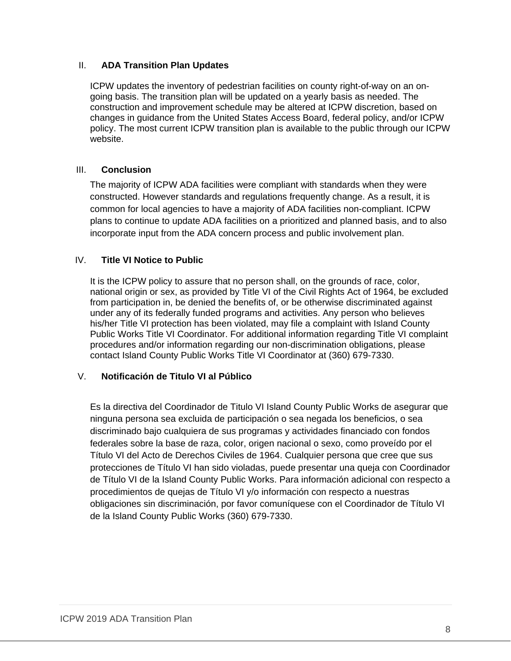# II. **ADA Transition Plan Updates**

ICPW updates the inventory of pedestrian facilities on county right-of-way on an ongoing basis. The transition plan will be updated on a yearly basis as needed. The construction and improvement schedule may be altered at ICPW discretion, based on changes in guidance from the United States Access Board, federal policy, and/or ICPW policy. The most current ICPW transition plan is available to the public through our ICPW website.

# III. **Conclusion**

The majority of ICPW ADA facilities were compliant with standards when they were constructed. However standards and regulations frequently change. As a result, it is common for local agencies to have a majority of ADA facilities non-compliant. ICPW plans to continue to update ADA facilities on a prioritized and planned basis, and to also incorporate input from the ADA concern process and public involvement plan.

# IV. **Title VI Notice to Public**

It is the ICPW policy to assure that no person shall, on the grounds of race, color, national origin or sex, as provided by Title VI of the Civil Rights Act of 1964, be excluded from participation in, be denied the benefits of, or be otherwise discriminated against under any of its federally funded programs and activities. Any person who believes his/her Title VI protection has been violated, may file a complaint with Island County Public Works Title VI Coordinator. For additional information regarding Title VI complaint procedures and/or information regarding our non-discrimination obligations, please contact Island County Public Works Title VI Coordinator at (360) 679-7330.

# V. **Notificación de Titulo VI al Público**

Es la directiva del Coordinador de Titulo VI Island County Public Works de asegurar que ninguna persona sea excluida de participación o sea negada los beneficios, o sea discriminado bajo cualquiera de sus programas y actividades financiado con fondos federales sobre la base de raza, color, origen nacional o sexo, como proveído por el Título VI del Acto de Derechos Civiles de 1964. Cualquier persona que cree que sus protecciones de Título VI han sido violadas, puede presentar una queja con Coordinador de Título VI de la Island County Public Works. Para información adicional con respecto a procedimientos de quejas de Título VI y/o información con respecto a nuestras obligaciones sin discriminación, por favor comuníquese con el Coordinador de Título VI de la Island County Public Works (360) 679-7330.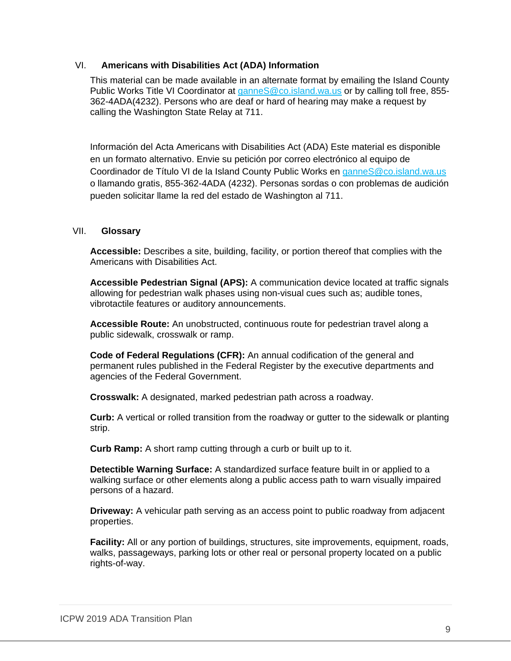## VI. **Americans with Disabilities Act (ADA) Information**

This material can be made available in an alternate format by emailing the Island County Public Works Title VI Coordinator at [ganneS@co.island.wa.us](mailto:ganneS@co.island.wa.us) or by calling toll free, 855-362-4ADA(4232). Persons who are deaf or hard of hearing may make a request by calling the Washington State Relay at 711.

Información del Acta Americans with Disabilities Act (ADA) Este material es disponible en un formato alternativo. Envie su petición por correo electrónico al equipo de Coordinador de Título VI de la Island County Public Works en [ganneS@co.island.wa.us](mailto:ganneS@co.island.wa.us) o llamando gratis, 855-362-4ADA (4232). Personas sordas o con problemas de audición pueden solicitar llame la red del estado de Washington al 711.

## VII. **Glossary**

**Accessible:** Describes a site, building, facility, or portion thereof that complies with the Americans with Disabilities Act.

**Accessible Pedestrian Signal (APS):** A communication device located at traffic signals allowing for pedestrian walk phases using non-visual cues such as; audible tones, vibrotactile features or auditory announcements.

**Accessible Route:** An unobstructed, continuous route for pedestrian travel along a public sidewalk, crosswalk or ramp.

**Code of Federal Regulations (CFR):** An annual codification of the general and permanent rules published in the Federal Register by the executive departments and agencies of the Federal Government.

**Crosswalk:** A designated, marked pedestrian path across a roadway.

**Curb:** A vertical or rolled transition from the roadway or gutter to the sidewalk or planting strip.

**Curb Ramp:** A short ramp cutting through a curb or built up to it.

**Detectible Warning Surface:** A standardized surface feature built in or applied to a walking surface or other elements along a public access path to warn visually impaired persons of a hazard.

**Driveway:** A vehicular path serving as an access point to public roadway from adjacent properties.

**Facility:** All or any portion of buildings, structures, site improvements, equipment, roads, walks, passageways, parking lots or other real or personal property located on a public rights-of-way.